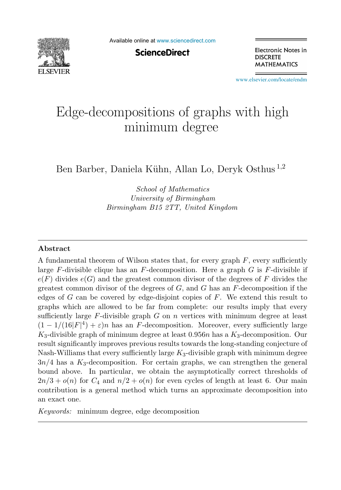

Available online at [www.sciencedirect.com](http://www.sciencedirect.com)

**ScienceDirect** 

Electronic Notes in **DISCRETE MATHEMATICS** 

[www.elsevier.com/locate/endm](http://www.elsevier.com/locate/endm)

# Edge-decompositions of graphs with high minimum degree

Ben Barber, Daniela Kühn, Allan Lo, Deryk Osthus<sup>1,2</sup>

*School of Mathematics University of Birmingham Birmingham B15 2TT, United Kingdom*

#### **Abstract**

A fundamental theorem of Wilson states that, for every graph  $F$ , every sufficiently large  $F$ -divisible clique has an  $F$ -decomposition. Here a graph  $G$  is  $F$ -divisible if  $e(F)$  divides  $e(G)$  and the greatest common divisor of the degrees of F divides the greatest common divisor of the degrees of  $G$ , and  $G$  has an  $F$ -decomposition if the edges of  $G$  can be covered by edge-disjoint copies of  $F$ . We extend this result to graphs which are allowed to be far from complete: our results imply that every sufficiently large  $F$ -divisible graph  $G$  on  $n$  vertices with minimum degree at least  $(1 - 1/(16|F|^4) + \varepsilon)n$  has an F-decomposition. Moreover, every sufficiently large  $K_3$ -divisible graph of minimum degree at least 0.956n has a  $K_3$ -decomposition. Our result significantly improves previous results towards the long-standing conjecture of Nash-Williams that every sufficiently large  $K_3$ -divisible graph with minimum degree  $3n/4$  has a  $K_3$ -decomposition. For certain graphs, we can strengthen the general bound above. In particular, we obtain the asymptotically correct thresholds of  $2n/3 + o(n)$  for  $C_4$  and  $n/2 + o(n)$  for even cycles of length at least 6. Our main contribution is a general method which turns an approximate decomposition into an exact one.

*Keywords:* minimum degree, edge decomposition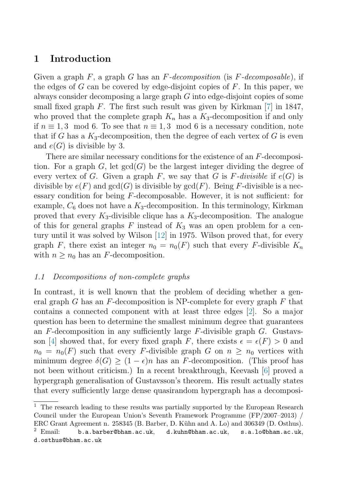## **1 Introduction**

Given a graph  $F$ , a graph  $G$  has an  $F-decomposition$  (is  $F-decomposition$ , if the edges of G can be covered by edge-disjoint copies of  $F$ . In this paper, we always consider decomposing a large graph G into edge-disjoint copies of some small fixed graph  $F$ . The first such result was given by Kirkman [\[7\]](#page-5-0) in 1847, who proved that the complete graph  $K_n$  has a  $K_3$ -decomposition if and only if  $n \equiv 1, 3 \mod 6$ . To see that  $n \equiv 1, 3 \mod 6$  is a necessary condition, note that if G has a  $K_3$ -decomposition, then the degree of each vertex of G is even and  $e(G)$  is divisible by 3.

There are similar necessary conditions for the existence of an F-decomposition. For a graph G, let  $gcd(G)$  be the largest integer dividing the degree of every vertex of G. Given a graph F, we say that G is F-divisible if  $e(G)$  is divisible by  $e(F)$  and  $gcd(G)$  is divisible by  $gcd(F)$ . Being F-divisible is a necessary condition for being F-decomposable. However, it is not sufficient: for example,  $C_6$  does not have a  $K_3$ -decomposition. In this terminology, Kirkman proved that every  $K_3$ -divisible clique has a  $K_3$ -decomposition. The analogue of this for general graphs F instead of  $K_3$  was an open problem for a century until it was solved by Wilson [\[12\]](#page-6-0) in 1975. Wilson proved that, for every graph F, there exist an integer  $n_0 = n_0(F)$  such that every F-divisible  $K_n$ with  $n \geq n_0$  has an F-decomposition.

### 1.1 Decompositions of non-complete graphs

In contrast, it is well known that the problem of deciding whether a general graph G has an  $F$ -decomposition is NP-complete for every graph  $F$  that contains a connected component with at least three edges [\[2\]](#page-5-0). So a major question has been to determine the smallest minimum degree that guarantees an  $F$ -decomposition in any sufficiently large  $F$ -divisible graph  $G$ . Gustavs-son [\[4\]](#page-5-0) showed that, for every fixed graph F, there exists  $\epsilon = \epsilon(F) > 0$  and  $n_0 = n_0(F)$  such that every F-divisible graph G on  $n \geq n_0$  vertices with minimum degree  $\delta(G) \geq (1 - \epsilon)n$  has an F-decomposition. (This proof has not been without criticism.) In a recent breakthrough, Keevash [\[6\]](#page-5-0) proved a hypergraph generalisation of Gustavsson's theorem. His result actually states that every sufficiently large dense quasirandom hypergraph has a decomposi-

 $^{\rm 1}$  The research leading to these results was partially supported by the European Research Council under the European Union's Seventh Framework Programme (FP/2007–2013) / ERC Grant Agreement n. 258345 (B. Barber, D. Kühn and A. Lo) and 306349 (D. Osthus).

 $2$  Email: b.a.barber@bham.ac.uk, d.kuhn@bham.ac.uk, s.a.lo@bham.ac.uk, d.osthus@bham.ac.uk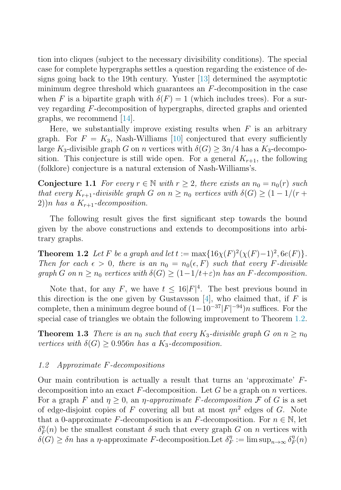<span id="page-2-0"></span>tion into cliques (subject to the necessary divisibility conditions). The special case for complete hypergraphs settles a question regarding the existence of designs going back to the 19th century. Yuster [\[13\]](#page-6-0) determined the asymptotic minimum degree threshold which guarantees an  $F$ -decomposition in the case when F is a bipartite graph with  $\delta(F) = 1$  (which includes trees). For a survey regarding F-decomposition of hypergraphs, directed graphs and oriented graphs, we recommend [\[14\]](#page-6-0).

Here, we substantially improve existing results when  $F$  is an arbitrary graph. For  $F = K_3$ , Nash-Williams [\[10\]](#page-6-0) conjectured that every sufficiently large K<sub>3</sub>-divisible graph G on n vertices with  $\delta(G) \geq 3n/4$  has a K<sub>3</sub>-decomposition. This conjecture is still wide open. For a general  $K_{r+1}$ , the following (folklore) conjecture is a natural extension of Nash-Williams's.

**Conjecture 1.1** For every  $r \in \mathbb{N}$  with  $r \geq 2$ , there exists an  $n_0 = n_0(r)$  such that every  $K_{r+1}$ -divisible graph G on  $n \geq n_0$  vertices with  $\delta(G) \geq (1-1/(r+1))$ 2))n has a  $K_{r+1}$ -decomposition.

The following result gives the first significant step towards the bound given by the above constructions and extends to decompositions into arbitrary graphs.

**Theorem 1.2** Let F be a graph and let  $t := \max\{16\chi(F)^2(\chi(F)-1)^2, 6e(F)\}.$ Then for each  $\epsilon > 0$ , there is an  $n_0 = n_0(\epsilon, F)$  such that every F-divisible graph G on  $n \geq n_0$  vertices with  $\delta(G) \geq (1-1/t+\varepsilon)n$  has an F-decomposition.

Note that, for any F, we have  $t \leq 16|F|^4$ . The best previous bound in this direction is the one given by Gustavsson [\[4\]](#page-5-0), who claimed that, if  $F$  is complete, then a minimum degree bound of  $(1-10^{-37}|F|^{-94})n$  suffices. For the special case of triangles we obtain the following improvement to Theorem 1.2.

**Theorem 1.3** There is an  $n_0$  such that every  $K_3$ -divisible graph G on  $n > n_0$ vertices with  $\delta(G) \geq 0.956n$  has a K<sub>3</sub>-decomposition.

#### 1.2 Approximate F-decompositions

Our main contribution is actually a result that turns an 'approximate'  $F$ decomposition into an exact  $F$ -decomposition. Let G be a graph on n vertices. For a graph F and  $\eta > 0$ , an  $\eta$ -approximate F-decomposition F of G is a set of edge-disjoint copies of F covering all but at most  $\eta n^2$  edges of G. Note that a 0-approximate F-decomposition is an F-decomposition. For  $n \in \mathbb{N}$ , let  $\delta_F^{\eta}(n)$  be the smallest constant  $\delta$  such that every graph G on n vertices with  $\delta(G) \ge \delta n$  has a  $\eta$ -approximate F-decomposition. Let  $\delta_F^{\eta} := \limsup_{n \to \infty} \delta_F^{\eta}(n)$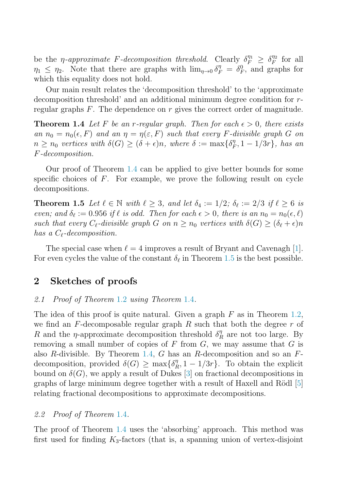<span id="page-3-0"></span>be the *η-approximate F-decomposition threshold.* Clearly  $\delta_F^{\eta_1} \geq \delta_F^{\eta_2}$  for all  $\eta_1 \leq \eta_2$ . Note that there are graphs with  $\lim_{\eta \to 0} \delta_F^{\eta} = \delta_F^0$ , and graphs for which this equality does not hold.

Our main result relates the 'decomposition threshold' to the 'approximate decomposition threshold' and an additional minimum degree condition for rregular graphs  $F$ . The dependence on r gives the correct order of magnitude.

**Theorem 1.4** Let F be an r-regular graph. Then for each  $\epsilon > 0$ , there exists an  $n_0 = n_0(\epsilon, F)$  and an  $\eta = \eta(\epsilon, F)$  such that every F-divisible graph G on  $n \geq n_0$  vertices with  $\delta(G) \geq (\delta + \epsilon)n$ , where  $\delta := \max{\{\delta_F^n, 1 - 1/3r\}}$ , has an F-decomposition.

Our proof of Theorem 1.4 can be applied to give better bounds for some specific choices of  $F$ . For example, we prove the following result on cycle decompositions.

**Theorem 1.5** Let  $\ell \in \mathbb{N}$  with  $\ell > 3$ , and let  $\delta_4 := 1/2$ ;  $\delta_{\ell} := 2/3$  if  $\ell > 6$  is even; and  $\delta_{\ell} := 0.956$  if  $\ell$  is odd. Then for each  $\epsilon > 0$ , there is an  $n_0 = n_0(\epsilon, \ell)$ such that every  $C_{\ell}$ -divisible graph  $G$  on  $n \geq n_0$  vertices with  $\delta(G) \geq (\delta_{\ell} + \epsilon)n$ has a  $C_{\ell}$ -decomposition.

The special case when  $\ell = 4$  improves a result of Bryant and Cavenagh [\[1\]](#page-5-0). For even cycles the value of the constant  $\delta_{\ell}$  in Theorem 1.5 is the best possible.

## **2 Sketches of proofs**

#### 2.[1](#page-2-0) Proof of Theorem 1.2 using Theorem 1.4.

The idea of this proof is quite natural. Given a graph  $F$  as in Theorem [1.2,](#page-2-0) we find an  $F$ -decomposable regular graph  $R$  such that both the degree  $r$  of R and the  $\eta$ -approximate decomposition threshold  $\delta_R^{\eta}$  are not too large. By removing a small number of copies of  $F$  from  $G$ , we may assume that  $G$  is also R-divisible. By Theorem 1.4, G has an R-decomposition and so an  $F$ decomposition, provided  $\delta(G) \ge \max{\delta_R^n, 1 - 1/3r}$ . To obtain the explicit bound on  $\delta(G)$ , we apply a result of Dukes [\[3\]](#page-5-0) on fractional decompositions in graphs of large minimum degree together with a result of Haxell and Rödl  $[5]$ relating fractional decompositions to approximate decompositions.

#### 2.2 Proof of Theorem 1.4.

The proof of Theorem 1.4 uses the 'absorbing' approach. This method was first used for finding  $K_3$ -factors (that is, a spanning union of vertex-disjoint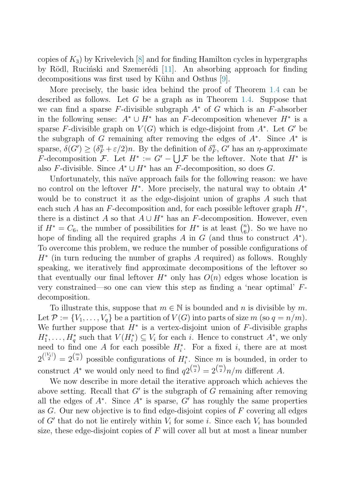copies of  $K_3$ ) by Krivelevich [\[8\]](#page-5-0) and for finding Hamilton cycles in hypergraphs by Rödl, Ruciński and Szemerédi [\[11\]](#page-6-0). An absorbing approach for finding decompositions was first used by Kühn and Osthus [\[9\]](#page-5-0).

More precisely, the basic idea behind the proof of Theorem [1.4](#page-3-0) can be described as follows. Let G be a graph as in Theorem [1.4.](#page-3-0) Suppose that we can find a sparse F-divisible subgraph  $A^*$  of G which is an F-absorber in the following sense:  $A^* \cup H^*$  has an F-decomposition whenever  $H^*$  is a sparse F-divisible graph on  $V(G)$  which is edge-disjoint from  $A^*$ . Let G' be the subgraph of G remaining after removing the edges of  $A^*$ . Since  $A^*$  is sparse,  $\delta(G') \geq (\delta_F^n + \varepsilon/2)n$ . By the definition of  $\delta_F^n$ , G' has an  $\eta$ -approximate F-decomposition F. Let  $H^* := G' - \bigcup \mathcal{F}$  be the leftover. Note that  $H^*$  is also F-divisible. Since  $A^* \cup H^*$  has an F-decomposition, so does G.

Unfortunately, this naïve approach fails for the following reason: we have no control on the leftover  $H^*$ . More precisely, the natural way to obtain  $A^*$ would be to construct it as the edge-disjoint union of graphs A such that each such A has an F-decomposition and, for each possible leftover graph  $H^*$ , there is a distinct A so that  $A \cup H^*$  has an F-decomposition. However, even if  $H^* = C_6$ , the number of possibilities for  $H^*$  is at least  $\binom{n}{6}$ . So we have no hope of finding all the required graphs A in G (and thus to construct  $A^*$ ). To overcome this problem, we reduce the number of possible configurations of  $H^*$  (in turn reducing the number of graphs A required) as follows. Roughly speaking, we iteratively find approximate decompositions of the leftover so that eventually our final leftover  $H^*$  only has  $O(n)$  edges whose location is very constrained—so one can view this step as finding a 'near optimal' Fdecomposition.

To illustrate this, suppose that  $m \in \mathbb{N}$  is bounded and n is divisible by m. Let  $\mathcal{P} := \{V_1, \ldots, V_q\}$  be a partition of  $V(G)$  into parts of size m (so  $q = n/m$ ). We further suppose that  $H^*$  is a vertex-disjoint union of  $F$ -divisible graphs  $H_1^*, \ldots, H_q^*$  such that  $V(H_i^*) \subseteq V_i$  for each i. Hence to construct  $A^*$ , we only need to find one A for each possible  $H_i^*$ . For a fixed i, there are at most  $2^{\binom{|V_i|}{2}} = 2^{\binom{m}{2}}$  possible configurations of  $H_i^*$ . Since m is bounded, in order to construct  $A^*$  we would only need to find  $q_2\binom{m}{2} = 2\binom{m}{2}n/m$  different A.

We now describe in more detail the iterative approach which achieves the above setting. Recall that  $G'$  is the subgraph of G remaining after removing all the edges of  $A^*$ . Since  $A^*$  is sparse, G' has roughly the same properties as  $G$ . Our new objective is to find edge-disjoint copies of  $F$  covering all edges of G' that do not lie entirely within  $V_i$  for some i. Since each  $V_i$  has bounded size, these edge-disjoint copies of  $F$  will cover all but at most a linear number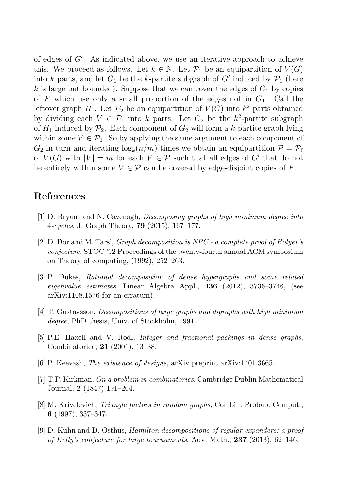<span id="page-5-0"></span>of edges of G . As indicated above, we use an iterative approach to achieve this. We proceed as follows. Let  $k \in \mathbb{N}$ . Let  $\mathcal{P}_1$  be an equipartition of  $V(G)$ into k parts, and let  $G_1$  be the k-partite subgraph of G' induced by  $\mathcal{P}_1$  (here k is large but bounded). Suppose that we can cover the edges of  $G_1$  by copies of F which use only a small proportion of the edges not in  $G_1$ . Call the leftover graph  $H_1$ . Let  $\mathcal{P}_2$  be an equipartition of  $V(G)$  into  $k^2$  parts obtained by dividing each  $V \in \mathcal{P}_1$  into k parts. Let  $G_2$  be the k<sup>2</sup>-partite subgraph of  $H_1$  induced by  $\mathcal{P}_2$ . Each component of  $G_2$  will form a k-partite graph lying within some  $V \in \mathcal{P}_1$ . So by applying the same argument to each component of  $G_2$  in turn and iterating  $\log_k(n/m)$  times we obtain an equipartition  $\mathcal{P} = \mathcal{P}_\ell$ of  $V(G)$  with  $|V| = m$  for each  $V \in \mathcal{P}$  such that all edges of G' that do not lie entirely within some  $V \in \mathcal{P}$  can be covered by edge-disjoint copies of F.

## **References**

- [1] D. Bryant and N. Cavenagh, *Decomposing graphs of high minimum degree into* 4*-cycles*, J. Graph Theory, **79** (2015), 167–177.
- [2] D. Dor and M. Tarsi, *Graph decomposition is NPC a complete proof of Holyer's conjecture*, STOC '92 Proceedings of the twenty-fourth annual ACM symposium on Theory of computing, (1992), 252–263.
- [3] P. Dukes, *Rational decomposition of dense hypergraphs and some related eigenvalue estimates*, Linear Algebra Appl., **436** (2012), 3736–3746, (see arXiv:1108.1576 for an erratum).
- [4] T. Gustavsson, *Decompositions of large graphs and digraphs with high minimum degree*, PhD thesis, Univ. of Stockholm, 1991.
- [5] P.E. Haxell and V. R¨odl, *Integer and fractional packings in dense graphs*, Combinatorica, **21** (2001), 13–38.
- [6] P. Keevash, *The existence of designs*, arXiv preprint arXiv:1401.3665.
- [7] T.P. Kirkman, *On a problem in combinatorics*, Cambridge Dublin Mathematical Journal, **2** (1847) 191–204.
- [8] M. Krivelevich, *Triangle factors in random graphs*, Combin. Probab. Comput., **6** (1997), 337–347.
- [9] D. K¨uhn and D. Osthus, *Hamilton decompositions of regular expanders: a proof of Kelly's conjecture for large tournaments*, Adv. Math., **237** (2013), 62–146.